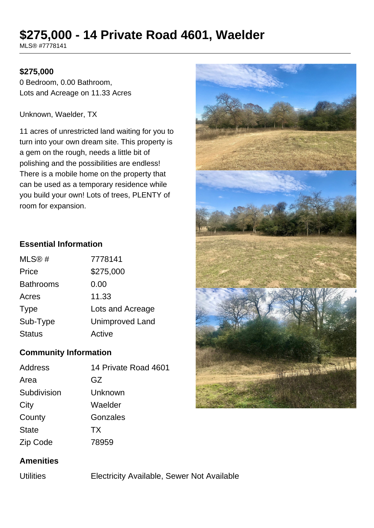# **\$275,000 - 14 Private Road 4601, Waelder**

MLS® #7778141

## **\$275,000**

0 Bedroom, 0.00 Bathroom, Lots and Acreage on 11.33 Acres

Unknown, Waelder, TX

11 acres of unrestricted land waiting for you to turn into your own dream site. This property is a gem on the rough, needs a little bit of polishing and the possibilities are endless! There is a mobile home on the property that can be used as a temporary residence while you build your own! Lots of trees, PLENTY of room for expansion.

## **Essential Information**

| MLS@#            | 7778141                |
|------------------|------------------------|
| Price            | \$275,000              |
| <b>Bathrooms</b> | 0.00                   |
| Acres            | 11.33                  |
| <b>Type</b>      | Lots and Acreage       |
| Sub-Type         | <b>Unimproved Land</b> |
| <b>Status</b>    | Active                 |

## **Community Information**

| Address      | 14 Private Road 4601 |
|--------------|----------------------|
| Area         | GZ                   |
| Subdivision  | Unknown              |
| City         | Waelder              |
| County       | Gonzales             |
| <b>State</b> | <b>TX</b>            |
| Zip Code     | 78959                |



Utilities Electricity Available, Sewer Not Available